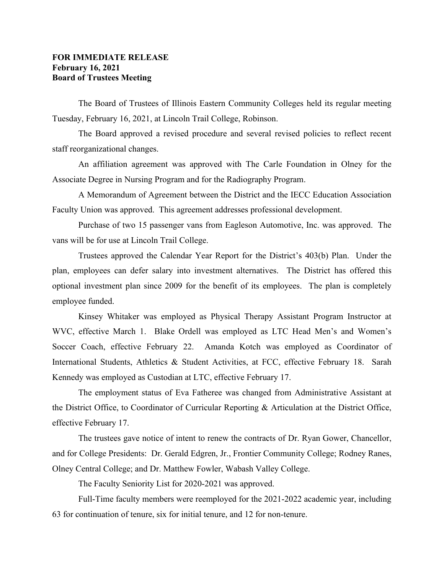## **FOR IMMEDIATE RELEASE February 16, 2021 Board of Trustees Meeting**

The Board of Trustees of Illinois Eastern Community Colleges held its regular meeting Tuesday, February 16, 2021, at Lincoln Trail College, Robinson.

The Board approved a revised procedure and several revised policies to reflect recent staff reorganizational changes.

An affiliation agreement was approved with The Carle Foundation in Olney for the Associate Degree in Nursing Program and for the Radiography Program.

A Memorandum of Agreement between the District and the IECC Education Association Faculty Union was approved. This agreement addresses professional development.

Purchase of two 15 passenger vans from Eagleson Automotive, Inc. was approved. The vans will be for use at Lincoln Trail College.

Trustees approved the Calendar Year Report for the District's 403(b) Plan. Under the plan, employees can defer salary into investment alternatives. The District has offered this optional investment plan since 2009 for the benefit of its employees. The plan is completely employee funded.

Kinsey Whitaker was employed as Physical Therapy Assistant Program Instructor at WVC, effective March 1. Blake Ordell was employed as LTC Head Men's and Women's Soccer Coach, effective February 22. Amanda Kotch was employed as Coordinator of International Students, Athletics & Student Activities, at FCC, effective February 18. Sarah Kennedy was employed as Custodian at LTC, effective February 17.

The employment status of Eva Fatheree was changed from Administrative Assistant at the District Office, to Coordinator of Curricular Reporting & Articulation at the District Office, effective February 17.

The trustees gave notice of intent to renew the contracts of Dr. Ryan Gower, Chancellor, and for College Presidents: Dr. Gerald Edgren, Jr., Frontier Community College; Rodney Ranes, Olney Central College; and Dr. Matthew Fowler, Wabash Valley College.

The Faculty Seniority List for 2020-2021 was approved.

Full-Time faculty members were reemployed for the 2021-2022 academic year, including 63 for continuation of tenure, six for initial tenure, and 12 for non-tenure.